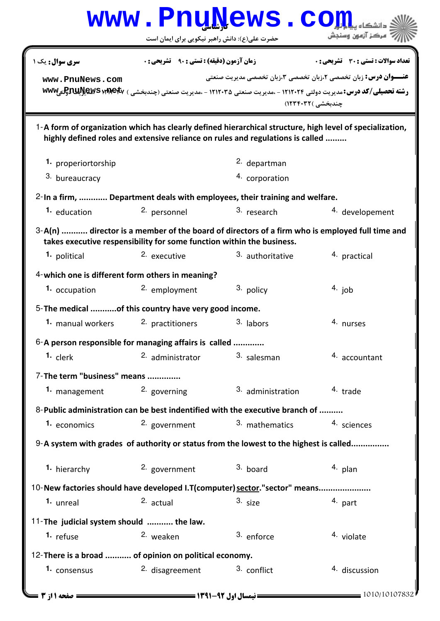|                                                                                                                                                                                            | حضرت علی(ع): دانش راهبر نیکویی برای ایمان است                              | www.PnuNews.co                                                                                                                                                                                                               | مركز آزمون وسنجش                    |  |  |  |
|--------------------------------------------------------------------------------------------------------------------------------------------------------------------------------------------|----------------------------------------------------------------------------|------------------------------------------------------------------------------------------------------------------------------------------------------------------------------------------------------------------------------|-------------------------------------|--|--|--|
| سری سوال: یک ۱                                                                                                                                                                             | <b>زمان آزمون (دقیقه) : تستی : ۹۰٪ تشریحی : 0</b>                          |                                                                                                                                                                                                                              | تعداد سوالات : تستى : 30 قشريحى : 0 |  |  |  |
| www.PnuNews.com                                                                                                                                                                            |                                                                            | <b>عنـــوان درس:</b> زبان تخصصی ۲،زبان تخصصی ۳،زبان تخصصی مدیریت صنعتی<br>رشته تحصیلی/کد درس: مدیریت دولتی ۱۲۱۲۰۲۴ - ،مدیریت صنعتی ۱۲۱۲۰۳۵ - ،مدیریت صنعتی (چندبخشی ) <b>WWWیتاپیRJU ایلاپاتو</b> تیWWW<br>چندبخشی )۱۲۳۴۰۳۲) |                                     |  |  |  |
| 1-A form of organization which has clearly defined hierarchical structure, high level of specialization,<br>highly defined roles and extensive reliance on rules and regulations is called |                                                                            |                                                                                                                                                                                                                              |                                     |  |  |  |
| 1. properiortorship                                                                                                                                                                        |                                                                            | 2. departman                                                                                                                                                                                                                 |                                     |  |  |  |
| 3. bureaucracy                                                                                                                                                                             |                                                                            | 4. corporation                                                                                                                                                                                                               |                                     |  |  |  |
|                                                                                                                                                                                            | 2-In a firm,  Department deals with employees, their training and welfare. |                                                                                                                                                                                                                              |                                     |  |  |  |
| 1. education                                                                                                                                                                               | 2. personnel                                                               | 3. research                                                                                                                                                                                                                  | 4. developement                     |  |  |  |
| 3-A(n)  director is a member of the board of directors of a firm who is employed full time and<br>takes executive respensibility for some function within the business.                    |                                                                            |                                                                                                                                                                                                                              |                                     |  |  |  |
| 1. political                                                                                                                                                                               | 2. executive                                                               | 3. authoritative                                                                                                                                                                                                             | 4. practical                        |  |  |  |
| 4-which one is different form others in meaning?                                                                                                                                           |                                                                            |                                                                                                                                                                                                                              |                                     |  |  |  |
| 1. occupation                                                                                                                                                                              | 2. employment                                                              | 3. policy                                                                                                                                                                                                                    | $4.$ job                            |  |  |  |
| 5- The medical of this country have very good income.                                                                                                                                      |                                                                            |                                                                                                                                                                                                                              |                                     |  |  |  |
| 1. manual workers                                                                                                                                                                          | 2. practitioners                                                           | 3. labors                                                                                                                                                                                                                    | 4. nurses                           |  |  |  |
| $6$ -A person responsible for managing affairs is called                                                                                                                                   |                                                                            |                                                                                                                                                                                                                              |                                     |  |  |  |
| 1. clerk                                                                                                                                                                                   | 2. administrator                                                           | 3. salesman                                                                                                                                                                                                                  | 4. accountant                       |  |  |  |
| 7-The term "business" means                                                                                                                                                                |                                                                            |                                                                                                                                                                                                                              |                                     |  |  |  |
| 1. management                                                                                                                                                                              | 2. governing                                                               | 3. administration                                                                                                                                                                                                            | 4. trade                            |  |  |  |
|                                                                                                                                                                                            |                                                                            | 8-Public administration can be best indentified with the executive branch of                                                                                                                                                 |                                     |  |  |  |
| 1. economics                                                                                                                                                                               | 2. government                                                              | 3. mathematics                                                                                                                                                                                                               | 4. sciences                         |  |  |  |
| 9-A system with grades of authority or status from the lowest to the highest is called                                                                                                     |                                                                            |                                                                                                                                                                                                                              |                                     |  |  |  |
| 1. hierarchy                                                                                                                                                                               | 2. government                                                              | 3. board                                                                                                                                                                                                                     | 4. plan                             |  |  |  |
| 10-New factories should have developed I.T(computer) sector."sector" means                                                                                                                 |                                                                            |                                                                                                                                                                                                                              |                                     |  |  |  |
| 1. unreal                                                                                                                                                                                  | 2. actual                                                                  | 3. size                                                                                                                                                                                                                      | 4. part                             |  |  |  |
| 11-The judicial system should  the law.                                                                                                                                                    |                                                                            |                                                                                                                                                                                                                              |                                     |  |  |  |
| 1. refuse                                                                                                                                                                                  | 2. weaken                                                                  | 3. enforce                                                                                                                                                                                                                   | 4. violate                          |  |  |  |
| 12-There is a broad  of opinion on political economy.                                                                                                                                      |                                                                            |                                                                                                                                                                                                                              |                                     |  |  |  |
| 1. consensus                                                                                                                                                                               | <sup>2.</sup> disagreement                                                 | 3. conflict                                                                                                                                                                                                                  | 4. discussion                       |  |  |  |
| <b>= صفحه 11; 3 ـــ</b>                                                                                                                                                                    |                                                                            |                                                                                                                                                                                                                              | 1010/10107832                       |  |  |  |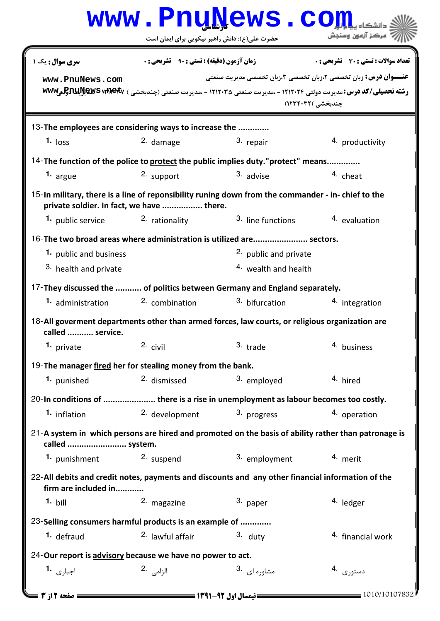|                                                                                                                                                |                                                                                                           | www.rnunews.co<br>حضرت علی(ع): دانش راهبر نیکویی برای ایمان است                    | ' مرڪز آزمون وسنڊش                    |  |  |  |
|------------------------------------------------------------------------------------------------------------------------------------------------|-----------------------------------------------------------------------------------------------------------|------------------------------------------------------------------------------------|---------------------------------------|--|--|--|
| <b>سری سوال:</b> یک ۱                                                                                                                          | <b>زمان آزمون (دقیقه) : تستی : ۹۰ قشریحی: .</b>                                                           |                                                                                    | تعداد سوالات : تستى : 30 - تشريحي : 0 |  |  |  |
| www.PnuNews.com                                                                                                                                |                                                                                                           | <b>عنـــوان درس:</b> زبان تخصصی ۲،زبان تخصصی ۳،زبان تخصصی مدیریت صنعتی             |                                       |  |  |  |
|                                                                                                                                                | رشته تحصیلی/کد درس: مدیریت دولتی ۱۲۱۲۰۲۴ - ،مدیریت صنعتی ۱۲۱۲۰۳۵ - ،مدیریت صنعتی (چندبخشی ) www وBRW الله |                                                                                    |                                       |  |  |  |
|                                                                                                                                                |                                                                                                           |                                                                                    | چندبخشی )۱۲۳۴۰۳۲)                     |  |  |  |
| 13-The employees are considering ways to increase the                                                                                          |                                                                                                           |                                                                                    |                                       |  |  |  |
| $1.$ loss                                                                                                                                      | 2. damage                                                                                                 | 3. repair                                                                          | 4. productivity                       |  |  |  |
|                                                                                                                                                |                                                                                                           | 14-The function of the police to protect the public implies duty."protect" means   |                                       |  |  |  |
| 1. argue                                                                                                                                       | 2. support                                                                                                | $3.$ advise                                                                        | 4. cheat                              |  |  |  |
| 15-In military, there is a line of reponsibility runing down from the commander - in-chief to the<br>private soldier. In fact, we have  there. |                                                                                                           |                                                                                    |                                       |  |  |  |
| 1. public service                                                                                                                              | 2. rationality                                                                                            | 3. line functions                                                                  | 4. evaluation                         |  |  |  |
|                                                                                                                                                | 16-The two broad areas where administration is utilized are sectors.                                      |                                                                                    |                                       |  |  |  |
| 1. public and business                                                                                                                         |                                                                                                           | <sup>2.</sup> public and private                                                   |                                       |  |  |  |
| 3. health and private                                                                                                                          |                                                                                                           | <sup>4.</sup> wealth and health                                                    |                                       |  |  |  |
| 17-They discussed the  of politics between Germany and England separately.                                                                     |                                                                                                           |                                                                                    |                                       |  |  |  |
| <b>1.</b> administration                                                                                                                       | <sup>2</sup> combination                                                                                  | <sup>3</sup> bifurcation                                                           | 4. integration                        |  |  |  |
| 18-All goverment departments other than armed forces, law courts, or religious organization are<br>called  service.                            |                                                                                                           |                                                                                    |                                       |  |  |  |
| 1. private 2. civil                                                                                                                            |                                                                                                           | 3. trade                                                                           | 4. business                           |  |  |  |
| 19-The manager fired her for stealing money from the bank.                                                                                     |                                                                                                           |                                                                                    |                                       |  |  |  |
| 1. punished                                                                                                                                    | 2. dismissed                                                                                              | 3. employed                                                                        | 4. hired                              |  |  |  |
|                                                                                                                                                |                                                                                                           | 20-In conditions of  there is a rise in unemployment as labour becomes too costly. |                                       |  |  |  |
| 1. inflation                                                                                                                                   | 2. development                                                                                            | 3. progress                                                                        | 4. operation                          |  |  |  |
| 21-A system in which persons are hired and promoted on the basis of ability rather than patronage is<br>called  system.                        |                                                                                                           |                                                                                    |                                       |  |  |  |
| 1. punishment                                                                                                                                  | 2. suspend                                                                                                | 3. employment                                                                      | 4. merit                              |  |  |  |
| 22-All debits and credit notes, payments and discounts and any other financial information of the<br>firm are included in                      |                                                                                                           |                                                                                    |                                       |  |  |  |
| $1.$ bill                                                                                                                                      | 2. magazine                                                                                               | 3. paper                                                                           | 4. ledger                             |  |  |  |
| 23-Selling consumers harmful products is an example of                                                                                         |                                                                                                           |                                                                                    |                                       |  |  |  |
| 1. defraud                                                                                                                                     | <sup>2.</sup> lawful affair                                                                               | $3.$ duty                                                                          | 4. financial work                     |  |  |  |
| 24-Our report is advisory because we have no power to act.                                                                                     |                                                                                                           |                                                                                    |                                       |  |  |  |
| اجبا <sub>ری</sub> 1.                                                                                                                          | الزامى .2                                                                                                 | 3. مشاوره ای                                                                       | دستورى .4                             |  |  |  |
|                                                                                                                                                |                                                                                                           |                                                                                    |                                       |  |  |  |
| صفحه 12; 3 ــ                                                                                                                                  |                                                                                                           |                                                                                    | $= 1010/10107832$                     |  |  |  |